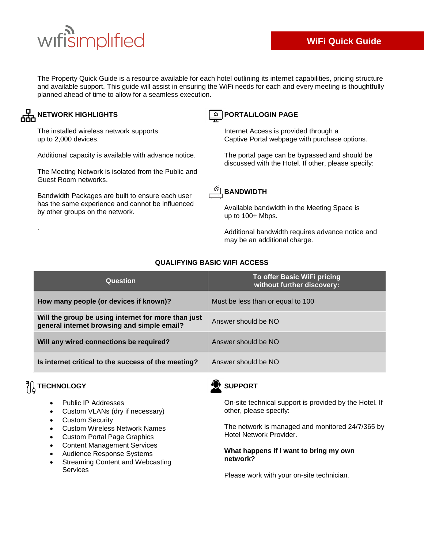# wifisimplified

The Property Quick Guide is a resource available for each hotel outlining its internet capabilities, pricing structure and available support. This guide will assist in ensuring the WiFi needs for each and every meeting is thoughtfully planned ahead of time to allow for a seamless execution.

### **AHA NETWORK HIGHLIGHTS**

The installed wireless network supports up to 2,000 devices.

Additional capacity is available with advance notice.

The Meeting Network is isolated from the Public and Guest Room networks.

Bandwidth Packages are built to ensure each user has the same experience and cannot be influenced by other groups on the network.

# **PORTAL/LOGIN PAGE**

Internet Access is provided through a Captive Portal webpage with purchase options.

The portal page can be bypassed and should be discussed with the Hotel. If other, please specify:



Available bandwidth in the Meeting Space is up to 100+ Mbps.

Additional bandwidth requires advance notice and may be an additional charge.

| Question                                                                                           | To offer Basic WiFi pricing<br>without further discovery: |
|----------------------------------------------------------------------------------------------------|-----------------------------------------------------------|
| How many people (or devices if known)?                                                             | Must be less than or equal to 100                         |
| Will the group be using internet for more than just<br>general internet browsing and simple email? | Answer should be NO                                       |
| Will any wired connections be required?                                                            | Answer should be NO                                       |
| Is internet critical to the success of the meeting?                                                | Answer should be NO                                       |

#### **QUALIFYING BASIC WIFI ACCESS**

# $\sqrt[{\mathbb{C}}]{\begin{bmatrix} \frac{1}{2} \\ \frac{1}{2} \end{bmatrix}}$  **TECHNOLOGY**

.

- Public IP Addresses
- Custom VLANs (dry if necessary)
- Custom Security
- Custom Wireless Network Names
- Custom Portal Page Graphics
- Content Management Services
- Audience Response Systems
- Streaming Content and Webcasting Services



#### **SUPPORT**

On-site technical support is provided by the Hotel. If other, please specify:

The network is managed and monitored 24/7/365 by Hotel Network Provider.

#### **What happens if I want to bring my own network?**

Please work with your on-site technician.